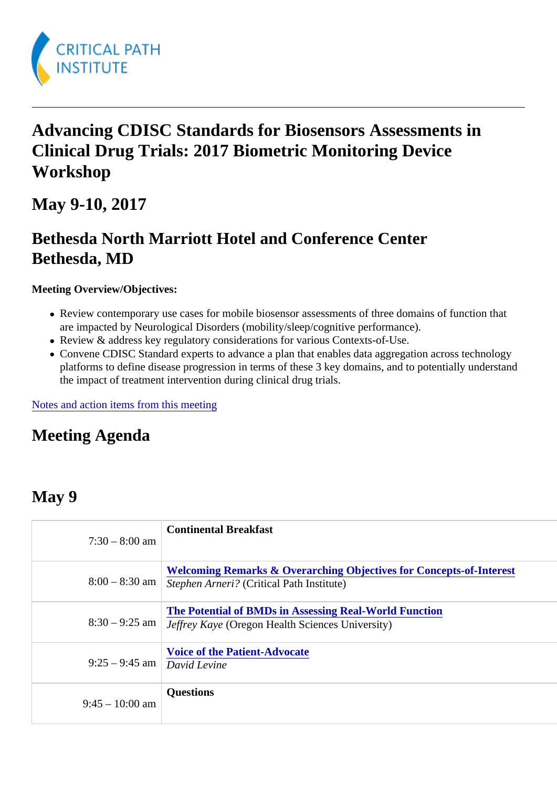## Advancing CDISC Standards for Biosensors Assessments in Clinical Drug Trials: 2017 Biometric Monitoring Device Workshop

May 9-10, 2017

### Bethesda North Marriott Hotel and Conference Center Bethesda, MD

Meeting Overview/Objectives:

- Review contemporary use cases for mobile biosensor assessments of three domains of function that are impacted by Neurological Disorders (mobility/sleep/cognitive performance).
- Review & address key regulatory considerations for various Contexts-of-Use.
- Convene CDISC Standard experts to advance a plan that enables data aggregation across technolo platforms to define disease progression in terms of these 3 key domains, and to potentially understa the impact of treatment intervention during clinical drug trials.

[Notes and action items from this mee](/wp-content/uploads/2017/07/2017_bmd_standards_workshop_may_2017.pdf)ting

#### Meeting Agenda

#### May 9

| $7:30 - 8:00$ am              | <b>Continental Breakfast</b>                                                                                                   |
|-------------------------------|--------------------------------------------------------------------------------------------------------------------------------|
|                               | Welcoming Remarks & Overarching Objectives for Concepts-of-Interest<br>8:00 - 8:30 am Stephen Arneri? Critical Path Institute) |
|                               | The Potential of BMDs in Assessing Real-World Function<br>8:30 - 9:25 am Jeffrey Kaye Oregon Health Sciences University)       |
| $9:25 - 9:45$ am David Levine | Voice of the Patient-Advocate                                                                                                  |
| $9:45 - 10:00$ am             | Questions                                                                                                                      |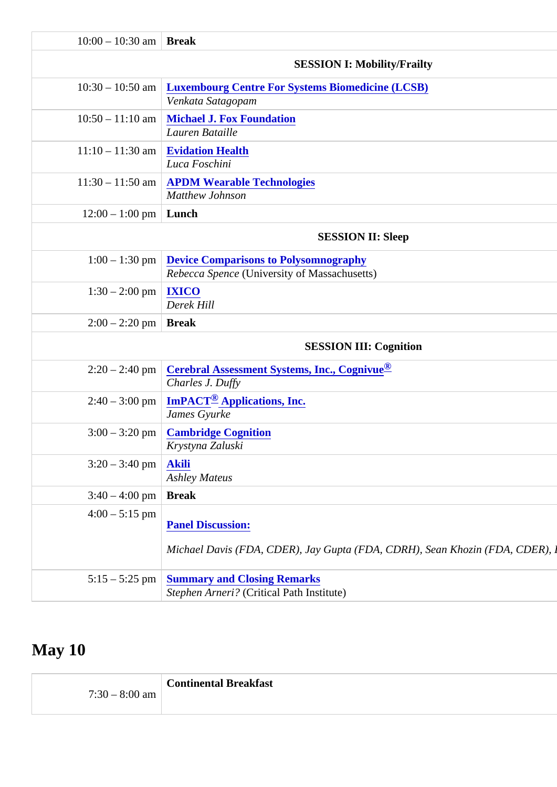| $10:00 - 10:30$ am Break      |                                                                                                    |  |
|-------------------------------|----------------------------------------------------------------------------------------------------|--|
|                               | <b>SESSION I: Mobility/Frailty</b>                                                                 |  |
|                               | 10:30 - 10:50 am Luxembourg Centre For Systems Biomedicine (LCSB)<br>Venkata Satagopam             |  |
|                               | 10:50 - 11:10 am Michael J. Fox Foundation<br><b>Lauren Bataille</b>                               |  |
|                               | $11:10 - 11:30$ am Evidation Health<br>Luca Foschini                                               |  |
|                               | 11:30 - 11:50 am APDM Wearable Technologies<br><b>Matthew Johnson</b>                              |  |
| $12:00 - 1:00$ pm Lunch       |                                                                                                    |  |
|                               | <b>SESSION II: Sleep</b>                                                                           |  |
|                               | 1:00 - 1:30 pm Device Comparisons to Polysomnography<br>Rebecca Spen¢University of Massachusetts)  |  |
| $1:30 - 2:00$ pm IXICO        | Derek Hill                                                                                         |  |
| $2:00 - 2:20$ pm Break        |                                                                                                    |  |
| <b>SESSION III: Cognition</b> |                                                                                                    |  |
|                               | 2:20 - 2:40 pm Cerebral Assessment Systems, Inc., Cognive<br>Charles J. Duffy                      |  |
|                               | 2:40 – 3:00 pm ImPACT <sup>®</sup> Applications, Inc.<br>James Gyurke                              |  |
|                               | 3:00 - 3:20 pm Cambridge Cognition<br>Krystyna Zaluski                                             |  |
| $3:20 - 3:40$ pm Akili        | <b>Ashley Mateus</b>                                                                               |  |
| $3:40 - 4:00$ pm Break        |                                                                                                    |  |
| $4:00 - 5:15$ pm              | <b>Panel Discussion:</b><br>Michael Davis (FDA, CDER), Jay Gupta (FDA, CDRH), Sean Khozin (FDA, CD |  |
|                               | 5:15 - 5:25 pm Summary and Closing Remarks<br>Stephen Arneri ? Critical Path Institute)            |  |
|                               |                                                                                                    |  |

# May 10

|                  | <b>Continental Breakfast</b> |
|------------------|------------------------------|
| $7:30 - 8:00$ am |                              |
|                  |                              |